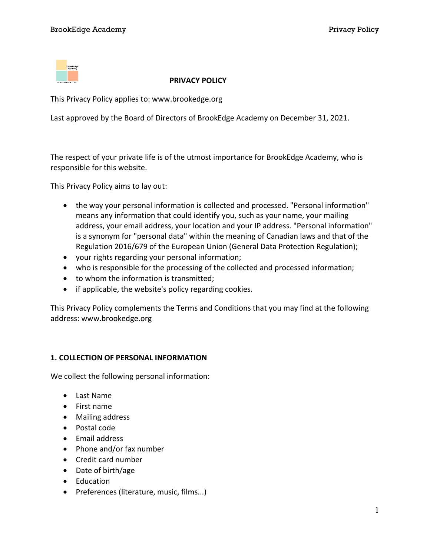

#### PRIVACY POLICY

This Privacy Policy applies to: www.brookedge.org

Last approved by the Board of Directors of BrookEdge Academy on December 31, 2021.

The respect of your private life is of the utmost importance for BrookEdge Academy, who is responsible for this website.

This Privacy Policy aims to lay out:

- the way your personal information is collected and processed. "Personal information" means any information that could identify you, such as your name, your mailing address, your email address, your location and your IP address. "Personal information" is a synonym for "personal data" within the meaning of Canadian laws and that of the Regulation 2016/679 of the European Union (General Data Protection Regulation);
- your rights regarding your personal information;
- who is responsible for the processing of the collected and processed information;
- to whom the information is transmitted;
- if applicable, the website's policy regarding cookies.

This Privacy Policy complements the Terms and Conditions that you may find at the following address: www.brookedge.org

# 1. COLLECTION OF PERSONAL INFORMATION

We collect the following personal information:

- Last Name
- First name
- Mailing address
- Postal code
- Email address
- Phone and/or fax number
- Credit card number
- Date of birth/age
- Education
- Preferences (literature, music, films...)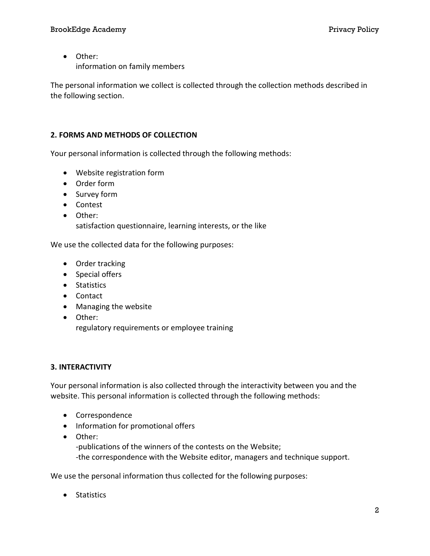#### BrookEdge Academy Privacy Policy Policy Privacy Policy Privacy Policy

 Other: information on family members

The personal information we collect is collected through the collection methods described in the following section.

# 2. FORMS AND METHODS OF COLLECTION

Your personal information is collected through the following methods:

- Website registration form
- Order form
- Survey form
- Contest
- Other: satisfaction questionnaire, learning interests, or the like

We use the collected data for the following purposes:

- Order tracking
- Special offers
- Statistics
- Contact
- Managing the website
- Other:

regulatory requirements or employee training

# 3. INTERACTIVITY

Your personal information is also collected through the interactivity between you and the website. This personal information is collected through the following methods:

- Correspondence
- Information for promotional offers
- Other:

-publications of the winners of the contests on the Website; -the correspondence with the Website editor, managers and technique support.

We use the personal information thus collected for the following purposes:

• Statistics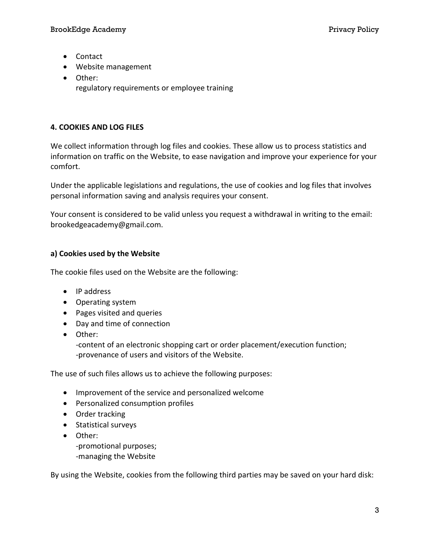- Contact
- Website management
- Other: regulatory requirements or employee training

# 4. COOKIES AND LOG FILES

We collect information through log files and cookies. These allow us to process statistics and information on traffic on the Website, to ease navigation and improve your experience for your comfort.

Under the applicable legislations and regulations, the use of cookies and log files that involves personal information saving and analysis requires your consent.

Your consent is considered to be valid unless you request a withdrawal in writing to the email: brookedgeacademy@gmail.com.

# a) Cookies used by the Website

The cookie files used on the Website are the following:

- IP address
- Operating system
- Pages visited and queries
- Day and time of connection
- Other:

-content of an electronic shopping cart or order placement/execution function; -provenance of users and visitors of the Website.

The use of such files allows us to achieve the following purposes:

- Improvement of the service and personalized welcome
- Personalized consumption profiles
- Order tracking
- Statistical surveys
- Other: -promotional purposes; -managing the Website

By using the Website, cookies from the following third parties may be saved on your hard disk: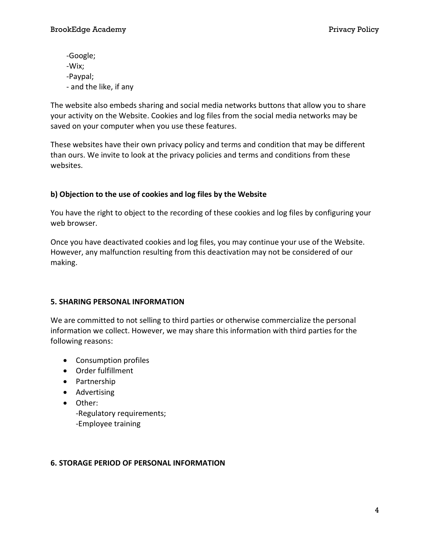-Google; -Wix; -Paypal; - and the like, if any

The website also embeds sharing and social media networks buttons that allow you to share your activity on the Website. Cookies and log files from the social media networks may be saved on your computer when you use these features.

These websites have their own privacy policy and terms and condition that may be different than ours. We invite to look at the privacy policies and terms and conditions from these websites.

# b) Objection to the use of cookies and log files by the Website

You have the right to object to the recording of these cookies and log files by configuring your web browser.

Once you have deactivated cookies and log files, you may continue your use of the Website. However, any malfunction resulting from this deactivation may not be considered of our making.

# 5. SHARING PERSONAL INFORMATION

We are committed to not selling to third parties or otherwise commercialize the personal information we collect. However, we may share this information with third parties for the following reasons:

- Consumption profiles
- Order fulfillment
- Partnership
- Advertising
- Other: -Regulatory requirements; -Employee training

# 6. STORAGE PERIOD OF PERSONAL INFORMATION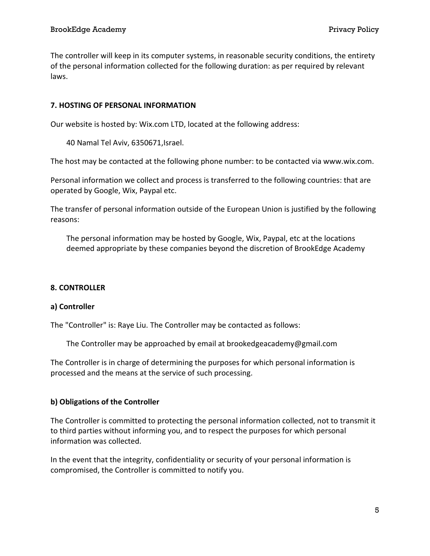The controller will keep in its computer systems, in reasonable security conditions, the entirety of the personal information collected for the following duration: as per required by relevant laws.

### 7. HOSTING OF PERSONAL INFORMATION

Our website is hosted by: Wix.com LTD, located at the following address:

40 Namal Tel Aviv, 6350671,Israel.

The host may be contacted at the following phone number: to be contacted via www.wix.com.

Personal information we collect and process is transferred to the following countries: that are operated by Google, Wix, Paypal etc.

The transfer of personal information outside of the European Union is justified by the following reasons:

The personal information may be hosted by Google, Wix, Paypal, etc at the locations deemed appropriate by these companies beyond the discretion of BrookEdge Academy

#### 8. CONTROLLER

#### a) Controller

The "Controller" is: Raye Liu. The Controller may be contacted as follows:

The Controller may be approached by email at brookedgeacademy@gmail.com

The Controller is in charge of determining the purposes for which personal information is processed and the means at the service of such processing.

# b) Obligations of the Controller

The Controller is committed to protecting the personal information collected, not to transmit it to third parties without informing you, and to respect the purposes for which personal information was collected.

In the event that the integrity, confidentiality or security of your personal information is compromised, the Controller is committed to notify you.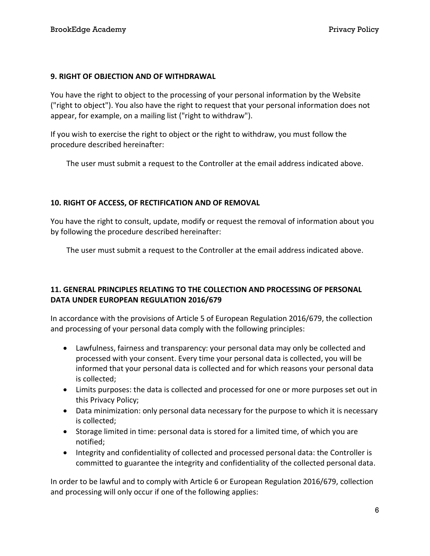#### 9. RIGHT OF OBJECTION AND OF WITHDRAWAL

You have the right to object to the processing of your personal information by the Website ("right to object"). You also have the right to request that your personal information does not appear, for example, on a mailing list ("right to withdraw").

If you wish to exercise the right to object or the right to withdraw, you must follow the procedure described hereinafter:

The user must submit a request to the Controller at the email address indicated above.

# 10. RIGHT OF ACCESS, OF RECTIFICATION AND OF REMOVAL

You have the right to consult, update, modify or request the removal of information about you by following the procedure described hereinafter:

The user must submit a request to the Controller at the email address indicated above.

# 11. GENERAL PRINCIPLES RELATING TO THE COLLECTION AND PROCESSING OF PERSONAL DATA UNDER EUROPEAN REGULATION 2016/679

In accordance with the provisions of Article 5 of European Regulation 2016/679, the collection and processing of your personal data comply with the following principles:

- Lawfulness, fairness and transparency: your personal data may only be collected and processed with your consent. Every time your personal data is collected, you will be informed that your personal data is collected and for which reasons your personal data is collected;
- Limits purposes: the data is collected and processed for one or more purposes set out in this Privacy Policy;
- Data minimization: only personal data necessary for the purpose to which it is necessary is collected;
- Storage limited in time: personal data is stored for a limited time, of which you are notified;
- Integrity and confidentiality of collected and processed personal data: the Controller is committed to guarantee the integrity and confidentiality of the collected personal data.

In order to be lawful and to comply with Article 6 or European Regulation 2016/679, collection and processing will only occur if one of the following applies: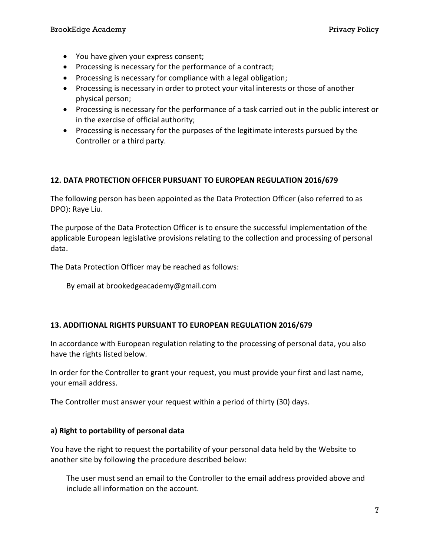- You have given your express consent;
- Processing is necessary for the performance of a contract;
- Processing is necessary for compliance with a legal obligation;
- Processing is necessary in order to protect your vital interests or those of another physical person;
- Processing is necessary for the performance of a task carried out in the public interest or in the exercise of official authority;
- Processing is necessary for the purposes of the legitimate interests pursued by the Controller or a third party.

### 12. DATA PROTECTION OFFICER PURSUANT TO EUROPEAN REGULATION 2016/679

The following person has been appointed as the Data Protection Officer (also referred to as DPO): Raye Liu.

The purpose of the Data Protection Officer is to ensure the successful implementation of the applicable European legislative provisions relating to the collection and processing of personal data.

The Data Protection Officer may be reached as follows:

By email at brookedgeacademy@gmail.com

#### 13. ADDITIONAL RIGHTS PURSUANT TO EUROPEAN REGULATION 2016/679

In accordance with European regulation relating to the processing of personal data, you also have the rights listed below.

In order for the Controller to grant your request, you must provide your first and last name, your email address.

The Controller must answer your request within a period of thirty (30) days.

#### a) Right to portability of personal data

You have the right to request the portability of your personal data held by the Website to another site by following the procedure described below:

The user must send an email to the Controller to the email address provided above and include all information on the account.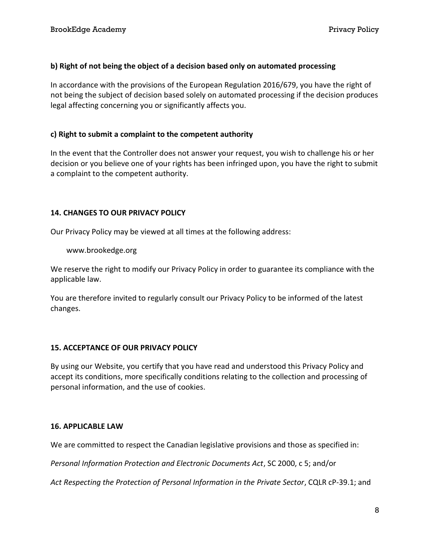### b) Right of not being the object of a decision based only on automated processing

In accordance with the provisions of the European Regulation 2016/679, you have the right of not being the subject of decision based solely on automated processing if the decision produces legal affecting concerning you or significantly affects you.

### c) Right to submit a complaint to the competent authority

In the event that the Controller does not answer your request, you wish to challenge his or her decision or you believe one of your rights has been infringed upon, you have the right to submit a complaint to the competent authority.

### 14. CHANGES TO OUR PRIVACY POLICY

Our Privacy Policy may be viewed at all times at the following address:

www.brookedge.org

We reserve the right to modify our Privacy Policy in order to guarantee its compliance with the applicable law.

You are therefore invited to regularly consult our Privacy Policy to be informed of the latest changes.

# 15. ACCEPTANCE OF OUR PRIVACY POLICY

By using our Website, you certify that you have read and understood this Privacy Policy and accept its conditions, more specifically conditions relating to the collection and processing of personal information, and the use of cookies.

#### 16. APPLICABLE LAW

We are committed to respect the Canadian legislative provisions and those as specified in:

Personal Information Protection and Electronic Documents Act, SC 2000, c 5; and/or

Act Respecting the Protection of Personal Information in the Private Sector, CQLR cP-39.1; and